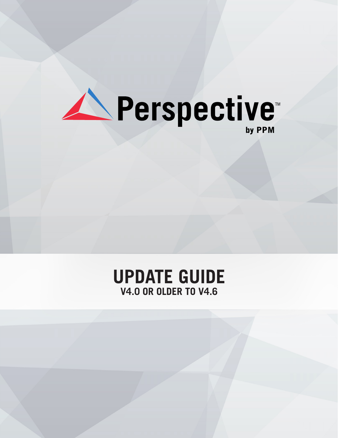

## **UPDATE GUIDE V4.0 OR OLDER TO V4.6**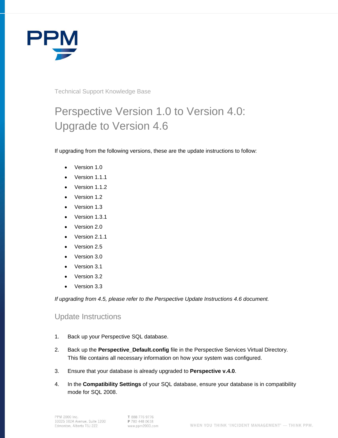

Technical Support Knowledge Base

## Perspective Version 1.0 to Version 4.0: Upgrade to Version 4.6

If upgrading from the following versions, these are the update instructions to follow:

- Version 1.0
- Version 1.1.1
- Version 1.1.2
- Version 1.2
- Version 1.3
- Version 1.3.1
- Version 2.0
- Version 2.1.1
- Version 2.5
- Version 3.0
- Version 3.1
- Version 3.2
- Version 3.3

*If upgrading from 4.5, please refer to the Perspective Update Instructions 4.6 document.*

## Update Instructions

- 1. Back up your Perspective SQL database.
- 2. Back up the **Perspective\_Default.config** file in the Perspective Services Virtual Directory. This file contains all necessary information on how your system was configured.
- 3. Ensure that your database is already upgraded to **Perspective v.4.0**.
- 4. In the **Compatibility Settings** of your SQL database, ensure your database is in compatibility mode for SQL 2008.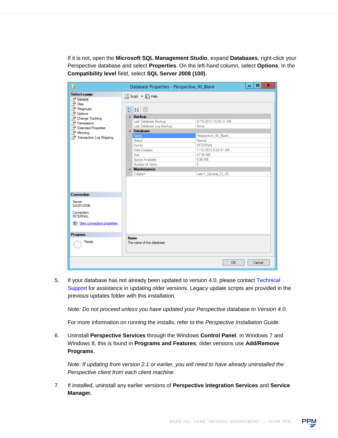If it is not, open the **Microsoft SQL Management Studio**, expand **Databases**, right-click your Perspective database and select **Properties**. On the left-hand column, select **Options**. In the **Compatibility level** field, select **SQL Server 2008 (100)**.

| П                                                                                                         | Database Properties - Perspective_40_Blank                                                                                                                                        |                                                                                                                                        | o      | x |
|-----------------------------------------------------------------------------------------------------------|-----------------------------------------------------------------------------------------------------------------------------------------------------------------------------------|----------------------------------------------------------------------------------------------------------------------------------------|--------|---|
| Select a page<br>General                                                                                  | S Script v B Help                                                                                                                                                                 |                                                                                                                                        |        |   |
| Files<br>Filegroups                                                                                       | 81 2. O                                                                                                                                                                           |                                                                                                                                        |        |   |
| Options<br>Change Tracking<br>Permissions<br>Extended Properties<br>Mirroring<br>Transaction Log Shipping | 4 Backup<br>Last Database Backup<br>Last Database Log Backup<br>△ Database<br>Name<br><b>Status</b><br>Owner<br>Date Created<br><b>Size</b><br>Space Available<br>Number of Users | 8/15/2013 10:40:31 AM<br>None<br>Perspective_40_Blank<br>Normal<br><b>INTERNAL</b><br>7/12/2013 9:24:41 AM<br>47.50 MB<br>9.96 MB<br>5 |        |   |
|                                                                                                           | 4 Maintenance<br>Collation                                                                                                                                                        | Latin1 General CI AS                                                                                                                   |        |   |
| <b>Connection</b>                                                                                         |                                                                                                                                                                                   |                                                                                                                                        |        |   |
| Server:<br>QA2012S0B                                                                                      |                                                                                                                                                                                   |                                                                                                                                        |        |   |
| Connection:<br><b>INTERNAL</b>                                                                            |                                                                                                                                                                                   |                                                                                                                                        |        |   |
| View connection properties                                                                                |                                                                                                                                                                                   |                                                                                                                                        |        |   |
| <b>Progress</b>                                                                                           |                                                                                                                                                                                   |                                                                                                                                        |        |   |
| Ready                                                                                                     | <b>Name</b><br>The name of the database.                                                                                                                                          |                                                                                                                                        |        |   |
|                                                                                                           |                                                                                                                                                                                   | <b>OK</b>                                                                                                                              | Cancel |   |

5. If your database has not already been updated to version 4.0, please contact Technical Support for assistance in updating older versions. Legacy update scripts are provided in the previous updates folder with this installation.

*Note: Do not proceed unless you have updated your Perspective database to Version 4.0.*

For more information on running the installs, refer to the *Perspective Installation Guide.*

6. Uninstall **Perspective Services** through the Windows **Control Panel**. In Windows 7 and Windows 8, this is found in **Programs and Features**; older versions use **Add/Remove Programs**.

*Note: If updating from version 2.1 or earlier, you will need to have already uninstalled the Perspective client from each client machine.*

7. If installed, uninstall any earlier versions of **Perspective Integration Services** and **Service Manager.**

WHEN YOU THINK 'INCIDENT MANAGEMENT' - THINK PPM.

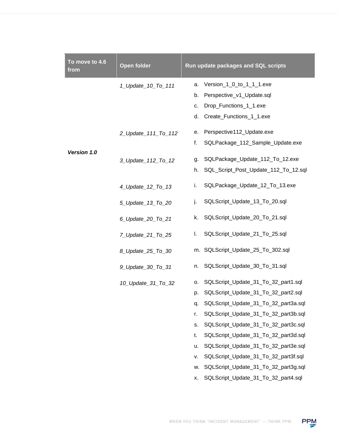| To move to 4.6<br>from | <b>Open folder</b>  |    | Run update packages and SQL scripts  |
|------------------------|---------------------|----|--------------------------------------|
|                        | 1_Update_10_To_111  | a. | Version_1_0_to_1_1_1.exe             |
|                        |                     | b. | Perspective_v1_Update.sql            |
|                        |                     | c. | Drop_Functions_1_1.exe               |
|                        |                     | d. | Create_Functions_1_1.exe             |
|                        | 2_Update_111_To_112 | е. | Perspective112_Update.exe            |
|                        |                     | f. | SQLPackage_112_Sample_Update.exe     |
| Version 1.0            | 3_Update_112_To_12  | g. | SQLPackage_Update_112_To_12.exe      |
|                        |                     | h. | SQL_Script_Post_Update_112_To_12.sql |
|                        | 4_Update_12_To_13   | i. | SQLPackage_Update_12_To_13.exe       |
|                        | 5_Update_13_To_20   | j. | SQLScript_Update_13_To_20.sql        |
|                        | 6_Update_20_To_21   | k. | SQLScript_Update_20_To_21.sql        |
|                        | 7_Update_21_To_25   | I. | SQLScript_Update_21_To_25.sql        |
|                        | 8_Update_25_To_30   |    | m. SQLScript_Update_25_To_302.sql    |
|                        | 9_Update_30_To_31   | n. | SQLScript_Update_30_To_31.sql        |
|                        | 10_Update_31_To_32  | о. | SQLScript_Update_31_To_32_part1.sql  |
|                        |                     | p. | SQLScript_Update_31_To_32_part2.sql  |
|                        |                     | q. | SQLScript_Update_31_To_32_part3a.sql |
|                        |                     | r. | SQLScript_Update_31_To_32_part3b.sql |
|                        |                     | s. | SQLScript_Update_31_To_32_part3c.sql |
|                        |                     | t. | SQLScript_Update_31_To_32_part3d.sql |
|                        |                     | u. | SQLScript_Update_31_To_32_part3e.sql |
|                        |                     | ۷. | SQLScript_Update_31_To_32_part3f.sql |
|                        |                     | w. | SQLScript_Update_31_To_32_part3g.sql |
|                        |                     | х. | SQLScript_Update_31_To_32_part4.sql  |

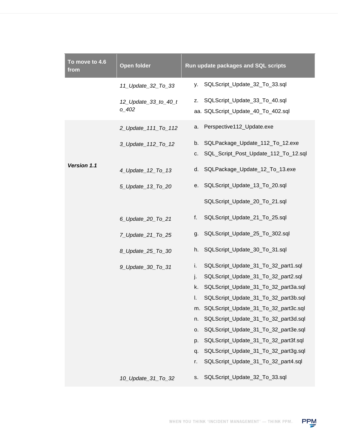| To move to 4.6<br>from | <b>Open folder</b>                | Run update packages and SQL scripts                                                 |
|------------------------|-----------------------------------|-------------------------------------------------------------------------------------|
|                        | 11_Update_32_To_33                | SQLScript_Update_32_To_33.sql<br>у.                                                 |
|                        | 12_Update_33_to_40_t<br>$0 - 402$ | SQLScript_Update_33_To_40.sql<br>Z.<br>aa. SQLScript_Update_40_To_402.sql           |
|                        | 2_Update_111_To_112               | Perspective112_Update.exe<br>а.                                                     |
|                        | 3_Update_112_To_12                | SQLPackage_Update_112_To_12.exe<br>b.<br>SQL_Script_Post_Update_112_To_12.sql<br>C. |
| Version 1.1            | 4_Update_12_To_13                 | SQLPackage_Update_12_To_13.exe<br>d.                                                |
|                        | 5_Update_13_To_20                 | SQLScript_Update_13_To_20.sql<br>е.                                                 |
|                        |                                   | SQLScript_Update_20_To_21.sql                                                       |
|                        | 6_Update_20_To_21                 | SQLScript_Update_21_To_25.sql<br>f.                                                 |
|                        | 7_Update_21_To_25                 | SQLScript_Update_25_To_302.sql<br>g.                                                |
|                        | 8_Update_25_To_30                 | SQLScript_Update_30_To_31.sql<br>h.                                                 |
|                        | 9_Update_30_To_31                 | SQLScript_Update_31_To_32_part1.sql<br>i.                                           |
|                        |                                   | SQLScript_Update_31_To_32_part2.sql<br>j.                                           |
|                        |                                   | SQLScript_Update_31_To_32_part3a.sql<br>k.                                          |
|                        |                                   | SQLScript_Update_31_To_32_part3b.sql<br>I.                                          |
|                        |                                   | m. SQLScript_Update_31_To_32_part3c.sql                                             |
|                        |                                   | SQLScript_Update_31_To_32_part3d.sql<br>n.                                          |
|                        |                                   | SQLScript_Update_31_To_32_part3e.sql<br>о.                                          |
|                        |                                   | SQLScript_Update_31_To_32_part3f.sql<br>p.                                          |
|                        |                                   | SQLScript_Update_31_To_32_part3g.sql<br>q.                                          |
|                        |                                   | SQLScript_Update_31_To_32_part4.sql<br>r.                                           |
|                        | 10_Update_31_To_32                | SQLScript_Update_32_To_33.sql<br>s.                                                 |

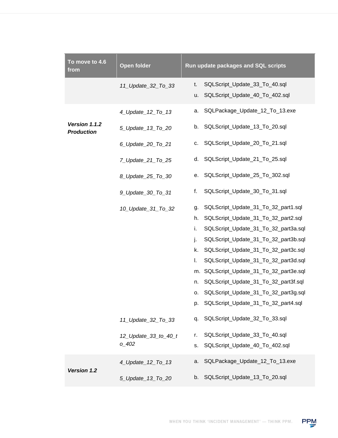| To move to 4.6<br>from             | <b>Open folder</b>   | Run update packages and SQL scripts                                         |
|------------------------------------|----------------------|-----------------------------------------------------------------------------|
|                                    | 11_Update_32_To_33   | SQLScript_Update_33_To_40.sql<br>t.<br>SQLScript_Update_40_To_402.sql<br>u. |
|                                    | 4_Update_12_To_13    | SQLPackage_Update_12_To_13.exe<br>a.                                        |
| Version 1.1.2<br><b>Production</b> | 5_Update_13_To_20    | SQLScript_Update_13_To_20.sql<br>b.                                         |
|                                    | 6_Update_20_To_21    | SQLScript_Update_20_To_21.sql<br>c.                                         |
|                                    | 7_Update_21_To_25    | SQLScript_Update_21_To_25.sql<br>d.                                         |
|                                    | 8_Update_25_To_30    | SQLScript_Update_25_To_302.sql<br>е.                                        |
|                                    | 9_Update_30_To_31    | f.<br>SQLScript_Update_30_To_31.sql                                         |
|                                    | 10_Update_31_To_32   | SQLScript_Update_31_To_32_part1.sql<br>g.                                   |
|                                    |                      | SQLScript_Update_31_To_32_part2.sql<br>h.                                   |
|                                    |                      | i.<br>SQLScript_Update_31_To_32_part3a.sql                                  |
|                                    |                      | SQLScript_Update_31_To_32_part3b.sql<br>j.                                  |
|                                    |                      | SQLScript_Update_31_To_32_part3c.sql<br>k.                                  |
|                                    |                      | SQLScript_Update_31_To_32_part3d.sql<br>I.                                  |
|                                    |                      | m. SQLScript_Update_31_To_32_part3e.sql                                     |
|                                    |                      | SQLScript_Update_31_To_32_part3f.sql<br>n.                                  |
|                                    |                      | SQLScript_Update_31_To_32_part3g.sql<br>о.                                  |
|                                    |                      | p. SQLScript_Update_31_To_32_part4.sql                                      |
|                                    | 11_Update_32_To_33   | SQLScript_Update_32_To_33.sql<br>q.                                         |
|                                    | 12_Update_33_to_40_t | SQLScript_Update_33_To_40.sql<br>r.                                         |
|                                    | o 402                | SQLScript_Update_40_To_402.sql<br>s.                                        |
| Version 1.2                        | 4_Update_12_To_13    | SQLPackage_Update_12_To_13.exe<br>a.                                        |
|                                    | 5_Update_13_To_20    | SQLScript_Update_13_To_20.sql<br>b.                                         |

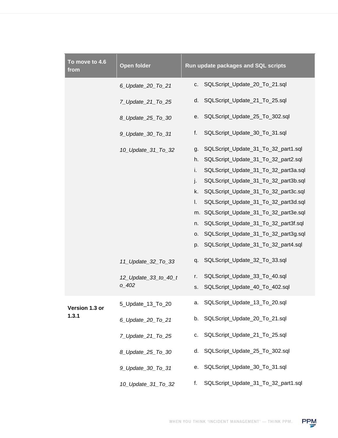| To move to 4.6<br>from | <b>Open folder</b>   | Run update packages and SQL scripts        |
|------------------------|----------------------|--------------------------------------------|
|                        | 6_Update_20_To_21    | SQLScript_Update_20_To_21.sql<br>c.        |
|                        | 7_Update_21_To_25    | SQLScript_Update_21_To_25.sql<br>d.        |
|                        | 8_Update_25_To_30    | SQLScript_Update_25_To_302.sql<br>е.       |
|                        | 9_Update_30_To_31    | f.<br>SQLScript_Update_30_To_31.sql        |
|                        | 10_Update_31_To_32   | SQLScript_Update_31_To_32_part1.sql<br>g.  |
|                        |                      | SQLScript_Update_31_To_32_part2.sql<br>h.  |
|                        |                      | SQLScript_Update_31_To_32_part3a.sql<br>i. |
|                        |                      | SQLScript_Update_31_To_32_part3b.sql<br>j. |
|                        |                      | SQLScript_Update_31_To_32_part3c.sql<br>k. |
|                        |                      | SQLScript_Update_31_To_32_part3d.sql<br>I. |
|                        |                      | m. SQLScript_Update_31_To_32_part3e.sql    |
|                        |                      | SQLScript_Update_31_To_32_part3f.sql<br>n. |
|                        |                      | SQLScript_Update_31_To_32_part3g.sql<br>о. |
|                        |                      | SQLScript_Update_31_To_32_part4.sql<br>p.  |
|                        | 11_Update_32_To_33   | SQLScript_Update_32_To_33.sql<br>q.        |
|                        | 12_Update_33_to_40_t | SQLScript_Update_33_To_40.sql<br>r.        |
|                        | $0 - 402$            | SQLScript_Update_40_To_402.sql<br>S.       |
| Version 1.3 or         | 5_Update_13_To_20    | a. SQLScript_Update_13_To_20.sql           |
| 1.3.1                  | 6_Update_20_To_21    | SQLScript_Update_20_To_21.sql<br>b.        |
|                        | 7_Update_21_To_25    | SQLScript_Update_21_To_25.sql<br>c.        |
|                        | 8 Update 25 To 30    | SQLScript_Update_25_To_302.sql<br>d.       |
|                        | 9_Update_30_To_31    | SQLScript_Update_30_To_31.sql<br>е.        |
|                        | 10_Update_31_To_32   | SQLScript_Update_31_To_32_part1.sql<br>f.  |

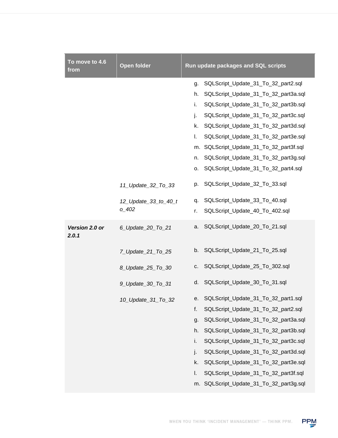| To move to 4.6<br>from  | <b>Open folder</b>   | Run update packages and SQL scripts        |
|-------------------------|----------------------|--------------------------------------------|
|                         |                      | SQLScript_Update_31_To_32_part2.sql<br>g.  |
|                         |                      | SQLScript_Update_31_To_32_part3a.sql<br>h. |
|                         |                      | SQLScript_Update_31_To_32_part3b.sql<br>i. |
|                         |                      | SQLScript_Update_31_To_32_part3c.sql<br>j. |
|                         |                      | SQLScript_Update_31_To_32_part3d.sql<br>k. |
|                         |                      | SQLScript_Update_31_To_32_part3e.sql<br>L. |
|                         |                      | m. SQLScript_Update_31_To_32_part3f.sql    |
|                         |                      | SQLScript_Update_31_To_32_part3g.sql<br>n. |
|                         |                      | SQLScript_Update_31_To_32_part4.sql<br>о.  |
|                         | 11_Update_32_To_33   | SQLScript_Update_32_To_33.sql<br>p.        |
|                         | 12_Update_33_to_40_t | SQLScript_Update_33_To_40.sql<br>q.        |
|                         | $0 - 402$            | SQLScript_Update_40_To_402.sql<br>r.       |
| Version 2.0 or<br>2.0.1 | 6_Update_20_To_21    | SQLScript_Update_20_To_21.sql<br>a.        |
|                         | 7_Update_21_To_25    | SQLScript_Update_21_To_25.sql<br>b.        |
|                         | 8 Update 25 To 30    | SQLScript_Update_25_To_302.sql<br>C.       |
|                         | 9_Update_30_To_31    | SQLScript_Update_30_To_31.sql<br>d.        |
|                         | 10_Update_31_To_32   | SQLScript_Update_31_To_32_part1.sql<br>e.  |
|                         |                      | f.<br>SQLScript_Update_31_To_32_part2.sql  |
|                         |                      | SQLScript_Update_31_To_32_part3a.sql<br>g. |
|                         |                      | SQLScript_Update_31_To_32_part3b.sql<br>h. |
|                         |                      | SQLScript_Update_31_To_32_part3c.sql<br>i. |
|                         |                      | SQLScript_Update_31_To_32_part3d.sql<br>j. |
|                         |                      | SQLScript_Update_31_To_32_part3e.sql<br>k. |
|                         |                      | SQLScript_Update_31_To_32_part3f.sql<br>I. |
|                         |                      | m. SQLScript_Update_31_To_32_part3g.sql    |

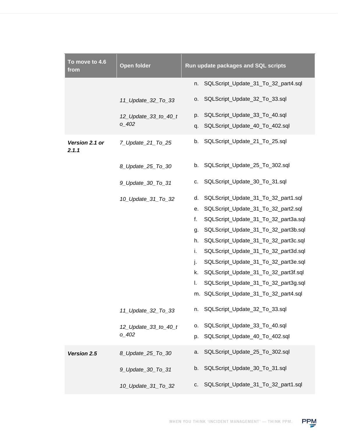| To move to 4.6<br>from  | <b>Open folder</b>                | Run update packages and SQL scripts                                         |
|-------------------------|-----------------------------------|-----------------------------------------------------------------------------|
|                         |                                   | SQLScript_Update_31_To_32_part4.sql<br>n.                                   |
|                         | 11_Update_32_To_33                | SQLScript_Update_32_To_33.sql<br>О.                                         |
|                         | 12_Update_33_to_40_t<br>$0 - 402$ | SQLScript_Update_33_To_40.sql<br>p.<br>SQLScript_Update_40_To_402.sql<br>q. |
| Version 2.1 or<br>2.1.1 | 7_Update_21_To_25                 | b.<br>SQLScript_Update_21_To_25.sql                                         |
|                         | 8_Update_25_To_30                 | b. SQLScript_Update_25_To_302.sql                                           |
|                         | 9_Update_30_To_31                 | SQLScript_Update_30_To_31.sql<br>c.                                         |
|                         | 10_Update_31_To_32                | SQLScript_Update_31_To_32_part1.sql<br>d.                                   |
|                         |                                   | SQLScript_Update_31_To_32_part2.sql<br>е.                                   |
|                         |                                   | f.<br>SQLScript_Update_31_To_32_part3a.sql                                  |
|                         |                                   | SQLScript_Update_31_To_32_part3b.sql<br>g.                                  |
|                         |                                   | SQLScript_Update_31_To_32_part3c.sql<br>h.                                  |
|                         |                                   | i.<br>SQLScript_Update_31_To_32_part3d.sql                                  |
|                         |                                   | j.<br>SQLScript_Update_31_To_32_part3e.sql                                  |
|                         |                                   | SQLScript_Update_31_To_32_part3f.sql<br>k.                                  |
|                         |                                   | I.<br>SQLScript_Update_31_To_32_part3g.sql                                  |
|                         |                                   | m. SQLScript_Update_31_To_32_part4.sql                                      |
|                         | 11_Update_32_To_33                | SQLScript_Update_32_To_33.sql<br>n.                                         |
|                         | 12_Update_33_to_40_t              | SQLScript_Update_33_To_40.sql<br>0.                                         |
|                         | $0 - 402$                         | SQLScript_Update_40_To_402.sql<br>p.                                        |
| Version 2.5             | 8_Update_25_To_30                 | SQLScript_Update_25_To_302.sql<br>a.                                        |
|                         | 9_Update_30_To_31                 | SQLScript_Update_30_To_31.sql<br>b.                                         |
|                         | 10_Update_31_To_32                | SQLScript_Update_31_To_32_part1.sql<br>c.                                   |

PPM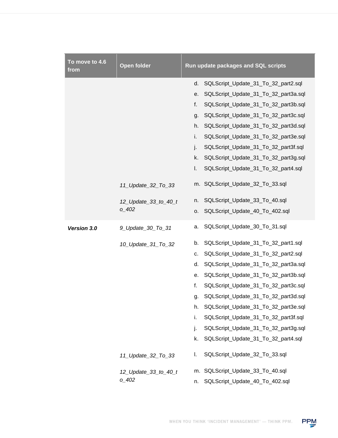| To move to 4.6<br>from | <b>Open folder</b>   | Run update packages and SQL scripts        |
|------------------------|----------------------|--------------------------------------------|
|                        |                      | d.<br>SQLScript_Update_31_To_32_part2.sql  |
|                        |                      | SQLScript_Update_31_To_32_part3a.sql<br>е. |
|                        |                      | SQLScript_Update_31_To_32_part3b.sql<br>f. |
|                        |                      | SQLScript_Update_31_To_32_part3c.sql<br>g. |
|                        |                      | SQLScript_Update_31_To_32_part3d.sql<br>h. |
|                        |                      | i.<br>SQLScript_Update_31_To_32_part3e.sql |
|                        |                      | j.<br>SQLScript_Update_31_To_32_part3f.sql |
|                        |                      | k.<br>SQLScript_Update_31_To_32_part3g.sql |
|                        |                      | SQLScript_Update_31_To_32_part4.sql<br>I.  |
|                        | 11_Update_32_To_33   | m. SQLScript_Update_32_To_33.sql           |
|                        | 12_Update_33_to_40_t | SQLScript_Update_33_To_40.sql<br>n.        |
|                        | $0 - 402$            | SQLScript_Update_40_To_402.sql<br>0.       |
| Version 3.0            | 9_Update_30_To_31    | SQLScript_Update_30_To_31.sql<br>a.        |
|                        | 10_Update_31_To_32   | SQLScript_Update_31_To_32_part1.sql<br>b.  |
|                        |                      | SQLScript_Update_31_To_32_part2.sql<br>c.  |
|                        |                      | SQLScript_Update_31_To_32_part3a.sql<br>d. |
|                        |                      | SQLScript_Update_31_To_32_part3b.sql<br>е. |
|                        |                      | f.<br>SQLScript_Update_31_To_32_part3c.sql |
|                        |                      | SQLScript_Update_31_To_32_part3d.sql<br>g. |
|                        |                      | SQLScript_Update_31_To_32_part3e.sql<br>h. |
|                        |                      | SQLScript_Update_31_To_32_part3f.sql<br>i. |
|                        |                      | SQLScript_Update_31_To_32_part3g.sql<br>j. |
|                        |                      | k.<br>SQLScript_Update_31_To_32_part4.sql  |
|                        | 11_Update_32_To_33   | SQLScript_Update_32_To_33.sql<br>I.        |
|                        | 12_Update_33_to_40_t | m. SQLScript_Update_33_To_40.sql           |
|                        | $0 - 402$            | SQLScript_Update_40_To_402.sql<br>n.       |

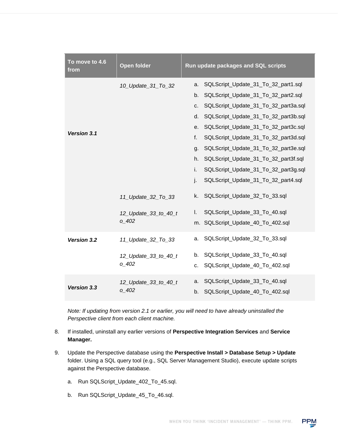| To move to 4.6<br>from | <b>Open folder</b>   | Run update packages and SQL scripts                  |
|------------------------|----------------------|------------------------------------------------------|
|                        | 10_Update_31_To_32   | SQLScript_Update_31_To_32_part1.sql<br>a.            |
|                        |                      | b.<br>SQLScript_Update_31_To_32_part2.sql            |
|                        |                      | SQLScript_Update_31_To_32_part3a.sql<br>C.           |
|                        |                      | SQLScript_Update_31_To_32_part3b.sql<br>d.           |
|                        |                      | SQLScript_Update_31_To_32_part3c.sql<br>e.           |
| Version 3.1            |                      | $f_{\rm{r}}$<br>SQLScript_Update_31_To_32_part3d.sql |
|                        |                      | SQLScript_Update_31_To_32_part3e.sql<br>g.           |
|                        |                      | SQLScript_Update_31_To_32_part3f.sql<br>h.           |
|                        |                      | i.<br>SQLScript_Update_31_To_32_part3g.sql           |
|                        |                      | j.<br>SQLScript_Update_31_To_32_part4.sql            |
|                        | 11_Update_32_To_33   | k.<br>SQLScript_Update_32_To_33.sql                  |
|                        | 12_Update_33_to_40_t | SQLScript_Update_33_To_40.sql<br>I.                  |
|                        | 0402                 | m. SQLScript_Update_40_To_402.sql                    |
| Version 3.2            | 11_Update_32_To_33   | SQLScript_Update_32_To_33.sql<br>a.                  |
|                        | 12_Update_33_to_40_t | SQLScript_Update_33_To_40.sql<br>b.                  |
|                        | $0 - 402$            | SQLScript_Update_40_To_402.sql<br>c.                 |
| Version 3.3            | 12_Update_33_to_40_t | SQLScript_Update_33_To_40.sql<br>a.                  |
|                        | $0 - 402$            | SQLScript_Update_40_To_402.sql<br>b.                 |

*Note: If updating from version 2.1 or earlier, you will need to have already uninstalled the Perspective client from each client machine.*

- 8. If installed, uninstall any earlier versions of **Perspective Integration Services** and **Service Manager.**
- 9. Update the Perspective database using the **Perspective Install > Database Setup > Update** folder. Using a SQL query tool (e.g., SQL Server Management Studio), execute update scripts against the Perspective database.
	- a. Run SQLScript\_Update\_402\_To\_45.sql.
	- b. Run SQLScript\_Update\_45\_To\_46.sql.

WHEN YOU THINK 'INCIDENT MANAGEMENT' - THINK PPM.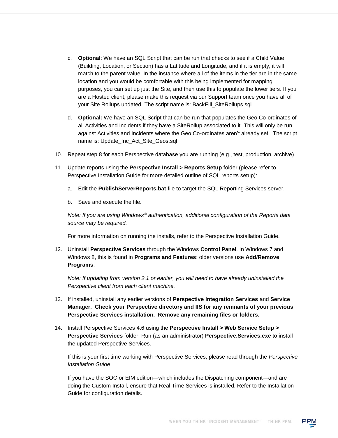- c. **Optional**: We have an SQL Script that can be run that checks to see if a Child Value (Building, Location, or Section) has a Latitude and Longitude, and if it is empty, it will match to the parent value. In the instance where all of the items in the tier are in the same location and you would be comfortable with this being implemented for mapping purposes, you can set up just the Site, and then use this to populate the lower tiers. If you are a Hosted client, please make this request via our Support team once you have all of your Site Rollups updated. The script name is: BackFIll\_SiteRollups.sql
- d. **Optional:** We have an SQL Script that can be run that populates the Geo Co-ordinates of all Activities and Incidents if they have a SiteRollup associated to it. This will only be run against Activities and Incidents where the Geo Co-ordinates aren't already set. The script name is: Update\_Inc\_Act\_Site\_Geos.sql
- 10. Repeat step 8 for each Perspective database you are running (e.g., test, production, archive).
- 11. Update reports using the **Perspective Install > Reports Setup** folder (please refer to Perspective Installation Guide for more detailed outline of SQL reports setup):
	- a. Edit the **PublishServerReports.bat** file to target the SQL Reporting Services server.
	- b. Save and execute the file.

*Note: If you are using Windows® authentication, additional configuration of the Reports data source may be required.*

For more information on running the installs, refer to the Perspective Installation Guide.

12. Uninstall **Perspective Services** through the Windows **Control Panel**. In Windows 7 and Windows 8, this is found in **Programs and Features**; older versions use **Add/Remove Programs**.

*Note: If updating from version 2.1 or earlier, you will need to have already uninstalled the Perspective client from each client machine.*

- 13. If installed, uninstall any earlier versions of **Perspective Integration Services** and **Service Manager. Check your Perspective directory and IIS for any remnants of your previous Perspective Services installation. Remove any remaining files or folders.**
- 14. Install Perspective Services 4.6 using the **Perspective Install > Web Service Setup > Perspective Services** folder. Run (as an administrator) **Perspective.Services.exe** to install the updated Perspective Services.

If this is your first time working with Perspective Services, please read through the *Perspective Installation Guide*.

If you have the SOC or EIM edition—which includes the Dispatching component—and are doing the Custom Install, ensure that Real Time Services is installed. Refer to the Installation Guide for configuration details.

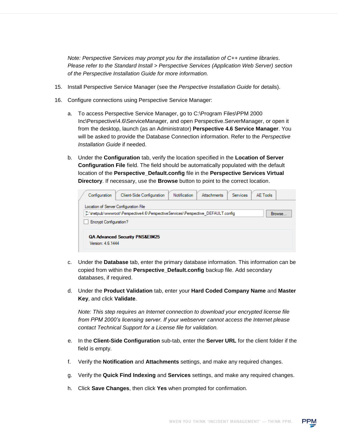*Note: Perspective Services may prompt you for the installation of C++ runtime libraries. Please refer to the Standard Install > Perspective Services (Application Web Server) section of the Perspective Installation Guide for more information.*

- 15. Install Perspective Service Manager (see the *Perspective Installation Guide* for details).
- 16. Configure connections using Perspective Service Manager:
	- a. To access Perspective Service Manager, go to C:\Program Files\PPM 2000 Inc\Perspective\4.6\ServiceManager, and open Perspective.ServerManager, or open it from the desktop, launch (as an Administrator) **Perspective 4.6 Service Manager**. You will be asked to provide the Database Connection information. Refer to the *Perspective Installation Guide* if needed.
	- b. Under the **Configuration** tab, verify the location specified in the **Location of Server Configuration File** field. The field should be automatically populated with the default location of the **Perspective\_Default.config** file in the **Perspective Services Virtual Directory**. If necessary, use the **Browse** button to point to the correct location.

| Configuration                 | <b>Client-Side Configuration</b>                                                 | <b>Notification</b> | <b>Attachments</b> | <b>Services</b> | AF Tools |        |
|-------------------------------|----------------------------------------------------------------------------------|---------------------|--------------------|-----------------|----------|--------|
|                               | Location of Server Configuration File                                            |                     |                    |                 |          |        |
|                               | C:\inetpub\wwwroot\Perspective4.6\PerspectiveServices\Perspective_DEFAULT.config |                     |                    |                 |          | Browse |
| <b>Encrypt Configuration?</b> |                                                                                  |                     |                    |                 |          |        |
|                               |                                                                                  |                     |                    |                 |          |        |
|                               | <b>QA Advanced Security PNS&amp;EIM25</b>                                        |                     |                    |                 |          |        |
| Version: 4.6.1444             |                                                                                  |                     |                    |                 |          |        |
|                               |                                                                                  |                     |                    |                 |          |        |

- c. Under the **Database** tab, enter the primary database information. This information can be copied from within the **Perspective\_Default.config** backup file. Add secondary databases, if required.
- d. Under the **Product Validation** tab, enter your **Hard Coded Company Name** and **Master Key**, and click **Validate**.

*Note: This step requires an Internet connection to download your encrypted license file from PPM 2000's licensing server. If your webserver cannot access the Internet please contact Technical Support for a License file for validation.*

- e. In the **Client-Side Configuration** sub-tab, enter the **Server URL** for the client folder if the field is empty.
- f. Verify the **Notification** and **Attachments** settings, and make any required changes.
- g. Verify the **Quick Find Indexing** and **Services** settings, and make any required changes.
- h. Click **Save Changes**, then click **Yes** when prompted for confirmation.

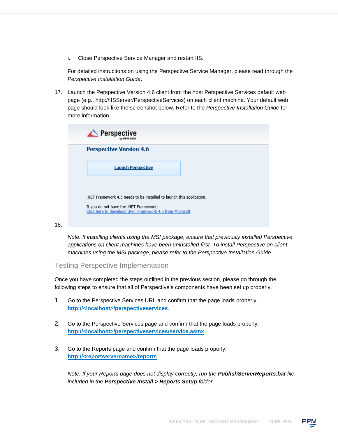i. Close Perspective Service Manager and restart IIS.

For detailed instructions on using the Perspective Service Manager, please read through the *Perspective Installation Guide*.

17. Launch the Perspective Version 4.6 client from the host Perspective Services default web page (e.g., http://IISServer/PerspectiveServices) on each client machine. Your default web page should look like the screenshot below. Refer to the *Perspective Installation Guide* for more information.

| $\triangle$ Perspective<br>by PPM 2000                                                             |  |  |
|----------------------------------------------------------------------------------------------------|--|--|
| <b>Perspective Version 4.6</b>                                                                     |  |  |
| <b>Launch Perspective</b>                                                                          |  |  |
|                                                                                                    |  |  |
| .NET Framework 4.5 needs to be installed to launch this application.                               |  |  |
| If you do not have the .NET Framework:<br>Click here to download .NET Framework 4.5 from Microsoft |  |  |

*Note: If installing clients using the MSI package, ensure that previously installed Perspective applications on client machines have been uninstalled first. To install Perspective on client machines using the MSI package, please refer to the Perspective Installation Guide.*

Testing Perspective Implementation

18.

Once you have completed the steps outlined in the previous section, please go through the following steps to ensure that all of Perspective's components have been set up properly.

- 1. Go to the Perspective Services URL and confirm that the page loads properly: **http://<localhost>/perspectiveservices**.
- 2. Go to the Perspective Services page and confirm that the page loads properly: **http://<localhost>/perspectiveservices/service.asmx**.
- 3. Go to the Reports page and confirm that the page loads properly: **http://<reportservername>/reports**.

*Note: If your Reports page does not display correctly, run the PublishServerReports.bat file included in the Perspective Install > Reports Setup folder.*